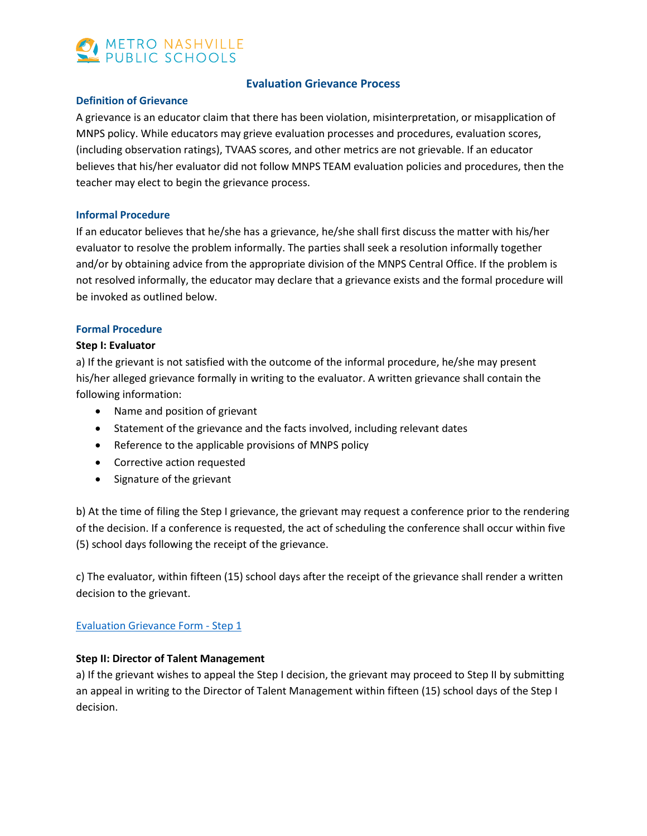

## **Evaluation Grievance Process**

#### **Definition of Grievance**

A grievance is an educator claim that there has been violation, misinterpretation, or misapplication of MNPS policy. While educators may grieve evaluation processes and procedures, evaluation scores, (including observation ratings), TVAAS scores, and other metrics are not grievable. If an educator believes that his/her evaluator did not follow MNPS TEAM evaluation policies and procedures, then the teacher may elect to begin the grievance process.

#### **Informal Procedure**

If an educator believes that he/she has a grievance, he/she shall first discuss the matter with his/her evaluator to resolve the problem informally. The parties shall seek a resolution informally together and/or by obtaining advice from the appropriate division of the MNPS Central Office. If the problem is not resolved informally, the educator may declare that a grievance exists and the formal procedure will be invoked as outlined below.

#### **Formal Procedure**

#### **Step I: Evaluator**

a) If the grievant is not satisfied with the outcome of the informal procedure, he/she may present his/her alleged grievance formally in writing to the evaluator. A written grievance shall contain the following information:

- Name and position of grievant
- Statement of the grievance and the facts involved, including relevant dates
- Reference to the applicable provisions of MNPS policy
- Corrective action requested
- Signature of the grievant

b) At the time of filing the Step I grievance, the grievant may request a conference prior to the rendering of the decision. If a conference is requested, the act of scheduling the conference shall occur within five (5) school days following the receipt of the grievance.

c) The evaluator, within fifteen (15) school days after the receipt of the grievance shall render a written decision to the grievant.

## [Evaluation Grievance Form -](https://k12mnps-my.sharepoint.com/personal/cataylor1_mnps_org/_layouts/15/guestaccess.aspx?docid=1d63f6cea41e4473785e4266d4a1a295a&authkey=AcZAo3O8wwtwdXurmwAaTNA) Step 1

## **Step II: Director of Talent Management**

a) If the grievant wishes to appeal the Step I decision, the grievant may proceed to Step II by submitting an appeal in writing to the Director of Talent Management within fifteen (15) school days of the Step I decision.